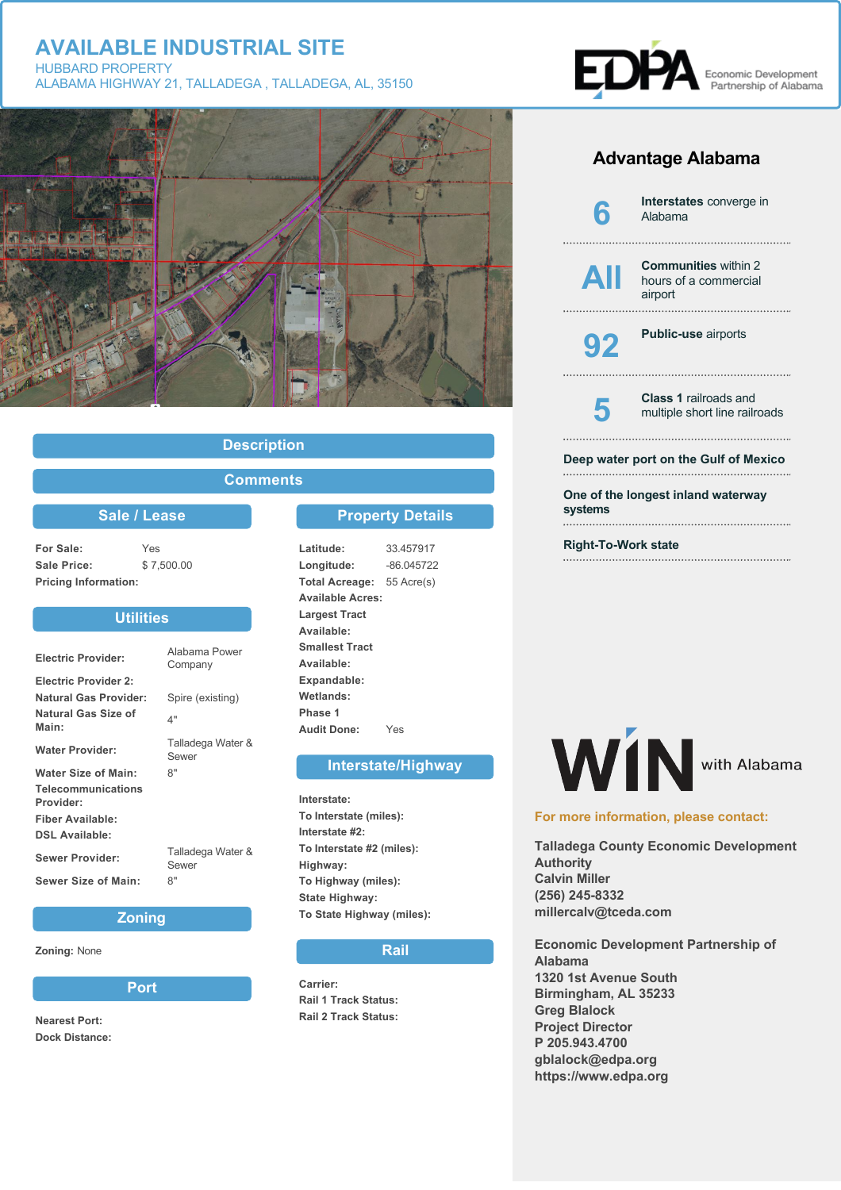

## **Description**

## **Comments**

### **Sale / Lease**

**For Sale:** Yes **Sale Price:** \$ 7,500.00 **Pricing Information:**

## **Utilities**

| <b>Electric Provider:</b>       | Alabama Power<br>Company   |
|---------------------------------|----------------------------|
| <b>Electric Provider 2:</b>     |                            |
| <b>Natural Gas Provider:</b>    | Spire (existing)           |
| Natural Gas Size of<br>Main:    | 4"                         |
| <b>Water Provider:</b>          | Talladega Water &<br>Sewer |
| <b>Water Size of Main:</b>      | 8"                         |
| Telecommunications<br>Provider: |                            |
| <b>Fiber Available:</b>         |                            |
| <b>DSL Available:</b>           |                            |
| <b>Sewer Provider:</b>          | Talladega Water &<br>Sewer |
| Sewer Size of Main:             | 8"                         |

#### **Zoning**

**Zoning:** None

**Port**

**Nearest Port: Dock Distance:**

## **Property Details**

**Latitude:** 33.457917 **Longitude:** -86.045722 **Total Acreage:** 55 Acre(s) **Available Acres: Largest Tract Available: Smallest Tract Available: Expandable: Wetlands: Phase 1 Audit Done:** Yes

#### **Interstate/Highway**

**Interstate: To Interstate (miles): Interstate #2: To Interstate #2 (miles): Highway: To Highway (miles): State Highway: To State Highway (miles):**

#### **Rail**

**Carrier: Rail 1 Track Status: Rail 2 Track Status:**



# **Advantage Alabama**



**Right-To-Work state**



#### **For more information, please contact:**

**Talladega County Economic Development Authority Calvin Miller (256) 245-8332 millercalv@tceda.com**

**Economic Development Partnership of Alabama 1320 1st Avenue South Birmingham, AL 35233 Greg Blalock Project Director P 205.943.4700 gblalock@edpa.org https://www.edpa.org**